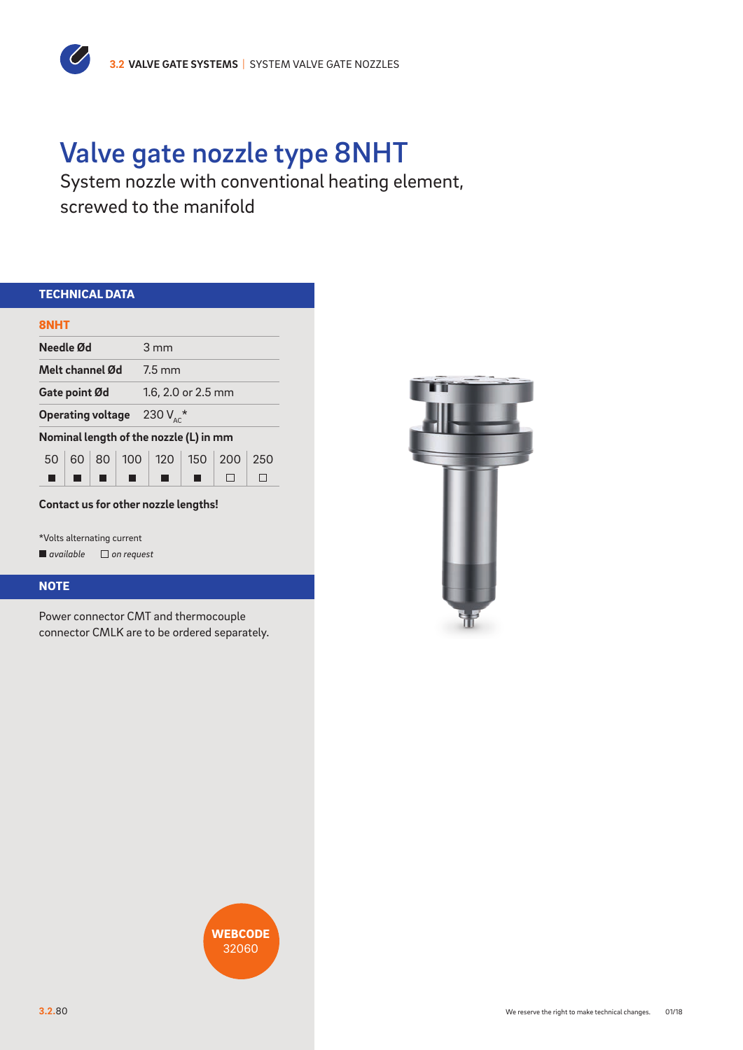# Valve gate nozzle type 8NHT

System nozzle with conventional heating element, screwed to the manifold

| <b>TECHNICAL DATA</b>                   |  |  |  |                    |                                        |  |      |  |
|-----------------------------------------|--|--|--|--------------------|----------------------------------------|--|------|--|
| <b>8NHT</b>                             |  |  |  |                    |                                        |  |      |  |
| Needle Ød                               |  |  |  | $3 \text{ mm}$     |                                        |  |      |  |
| Melt channel Ød                         |  |  |  | $7.5 \text{ mm}$   |                                        |  |      |  |
| Gate point Ød                           |  |  |  | 1.6, 2.0 or 2.5 mm |                                        |  |      |  |
| <b>Operating voltage</b> 230 $V_{AC}^*$ |  |  |  |                    |                                        |  |      |  |
|                                         |  |  |  |                    | Nominal length of the nozzle (L) in mm |  |      |  |
|                                         |  |  |  |                    | 50 60 80 100 120 150 200               |  | -250 |  |
|                                         |  |  |  |                    |                                        |  |      |  |

\*Volts alternating current *available on request*

 $\overline{\mathcal{C}}$ 

### **NOTE**

Power connector CMT and thermocouple connector CMLK are to be ordered separately.



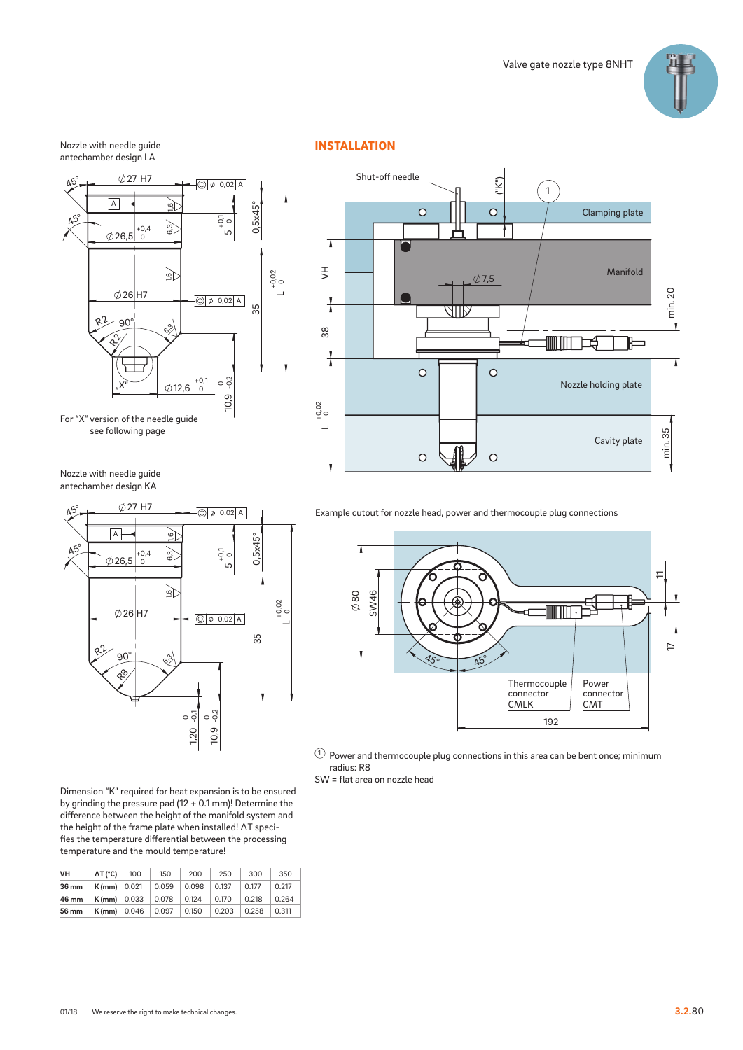

#### Nozzle with needle guide antechamber design LA



see following page



INSTALLATION

Nozzle with needle guide antechamber design KA



Dimension "K" required for heat expansion is to be ensured by grinding the pressure pad (12 + 0.1 mm)! Determine the difference between the height of the manifold system and the height of the frame plate when installed! ∆T specifies the temperature differential between the processing temperature and the mould temperature!

| VH    | $\Delta T$ (°C) | 100                    | 150   | 200   | 250   | 300   | 350   |
|-------|-----------------|------------------------|-------|-------|-------|-------|-------|
| 36 mm | $K$ (mm) 0.021  |                        | 0.059 | 0.098 | 0.137 | 0.177 | 0.217 |
| 46 mm |                 | $K$ (mm) 0.033         | 0.078 | 0.124 | 0.170 | 0.218 | 0.264 |
| 56 mm |                 | $K$ (mm) $\vert 0.046$ | 0.097 | 0.150 | 0.203 | 0.258 | 0.311 |

Example cutout for nozzle head, power and thermocouple plug connections



 $\textcircled{\small{1}}$  Power and thermocouple plug connections in this area can be bent once; minimum radius: R8 SW = flat area on nozzle head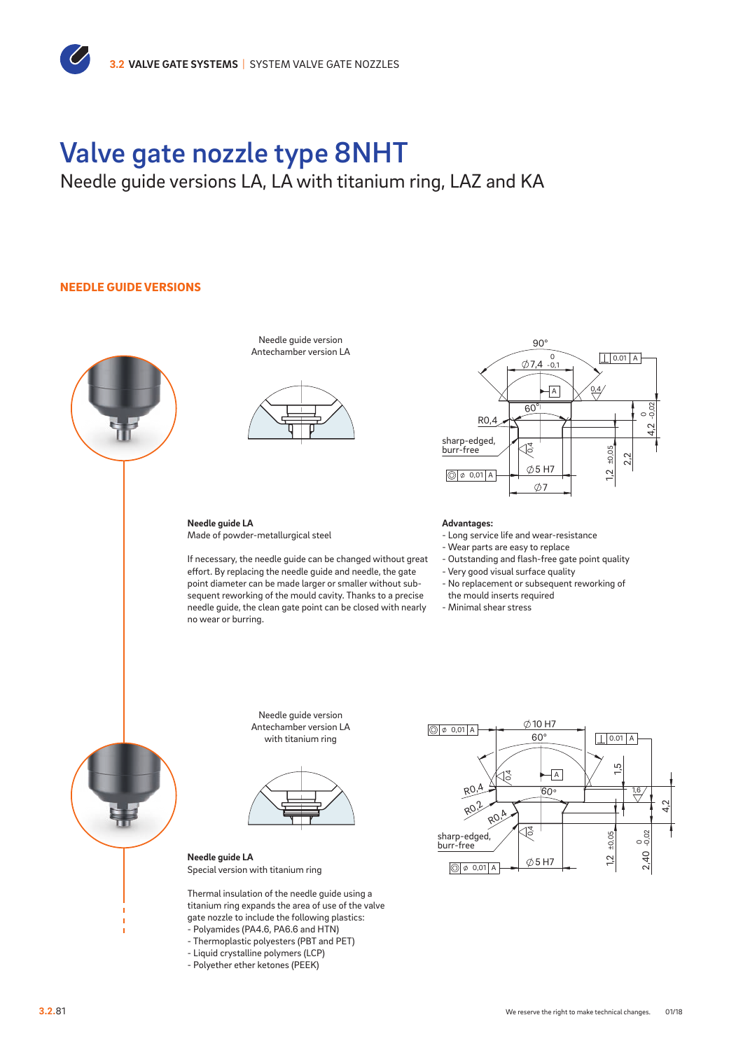## Valve gate nozzle type 8NHT

Needle guide versions LA, LA with titanium ring, LAZ and KA

### NEEDLE GUIDE VERSIONS



Needle guide version Antechamber version LA



**Needle guide LA** Made of powder-metallurgical steel

If necessary, the needle guide can be changed without great effort. By replacing the needle guide and needle, the gate point diameter can be made larger or smaller without subsequent reworking of the mould cavity. Thanks to a precise needle guide, the clean gate point can be closed with nearly no wear or burring.



**Advantages:**

- Long service life and wear-resistance

- Wear parts are easy to replace
- Outstanding and flash-free gate point quality
- Very good visual surface quality
- No replacement or subsequent reworking of
- the mould inserts required
- Minimal shear stress



Needle guide version Antechamber version LA with titanium ring



 4,2 **Needle guide LA** Special version with titanium ring

Thermal insulation of the needle guide using a titanium ring expands the area of use of the valve gate nozzle to include the following plastics:

- Polyamides (PA4.6, PA6.6 and HTN) - Thermoplastic polyesters (PBT and PET)
- Liquid crystalline polymers (LCP)
- Polyether ether ketones (PEEK)



Detail X: Ausführung Nadelführung